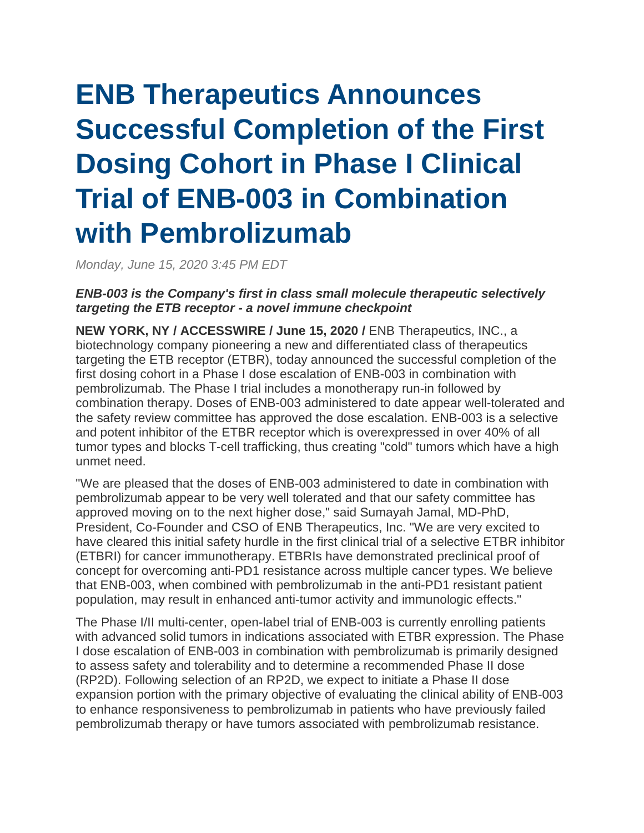# **ENB Therapeutics Announces Successful Completion of the First Dosing Cohort in Phase I Clinical Trial of ENB-003 in Combination with Pembrolizumab**

*Monday, June 15, 2020 3:45 PM EDT*

#### *ENB-003 is the Company's first in class small molecule therapeutic selectively targeting the ETB receptor - a novel immune checkpoint*

**NEW YORK, NY / ACCESSWIRE / June 15, 2020 /** ENB Therapeutics, INC., a biotechnology company pioneering a new and differentiated class of therapeutics targeting the ETB receptor (ETBR), today announced the successful completion of the first dosing cohort in a Phase I dose escalation of ENB-003 in combination with pembrolizumab. The Phase I trial includes a monotherapy run-in followed by combination therapy. Doses of ENB-003 administered to date appear well-tolerated and the safety review committee has approved the dose escalation. ENB-003 is a selective and potent inhibitor of the ETBR receptor which is overexpressed in over 40% of all tumor types and blocks T-cell trafficking, thus creating "cold" tumors which have a high unmet need.

"We are pleased that the doses of ENB-003 administered to date in combination with pembrolizumab appear to be very well tolerated and that our safety committee has approved moving on to the next higher dose," said Sumayah Jamal, MD-PhD, President, Co-Founder and CSO of ENB Therapeutics, Inc. "We are very excited to have cleared this initial safety hurdle in the first clinical trial of a selective ETBR inhibitor (ETBRI) for cancer immunotherapy. ETBRIs have demonstrated preclinical proof of concept for overcoming anti-PD1 resistance across multiple cancer types. We believe that ENB-003, when combined with pembrolizumab in the anti-PD1 resistant patient population, may result in enhanced anti-tumor activity and immunologic effects."

The Phase I/II multi-center, open-label trial of ENB-003 is currently enrolling patients with advanced solid tumors in indications associated with ETBR expression. The Phase I dose escalation of ENB-003 in combination with pembrolizumab is primarily designed to assess safety and tolerability and to determine a recommended Phase II dose (RP2D). Following selection of an RP2D, we expect to initiate a Phase II dose expansion portion with the primary objective of evaluating the clinical ability of ENB-003 to enhance responsiveness to pembrolizumab in patients who have previously failed pembrolizumab therapy or have tumors associated with pembrolizumab resistance.